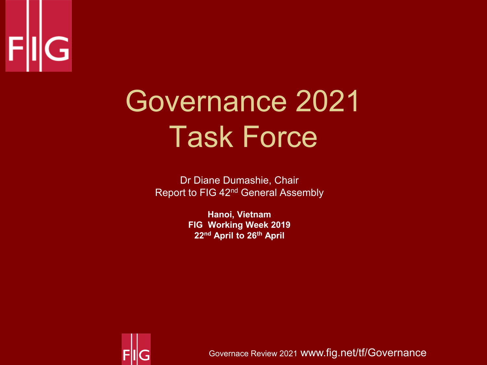

# Governance 2021 Task Force

Dr Diane Dumashie, Chair Report to FIG 42nd General Assembly

> **Hanoi, Vietnam FIG Working Week 2019 22nd April to 26th April**



Governace Review 2021 www.fig.net/tf/Governance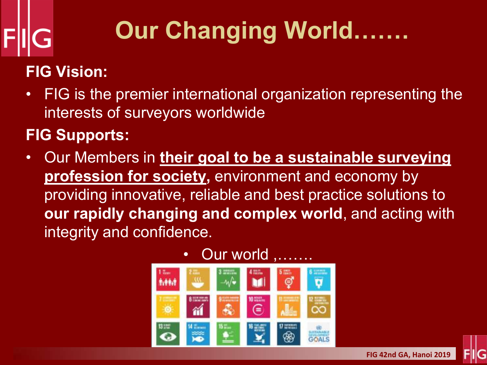# **Our Changing World…….**

### **FIG Vision:**

• FIG is the premier international organization representing the interests of surveyors worldwide

#### **FIG Supports:**

• Our Members in **their goal to be a sustainable surveying profession for society,** environment and economy by providing innovative, reliable and best practice solutions to **our rapidly changing and complex world**, and acting with integrity and confidence.

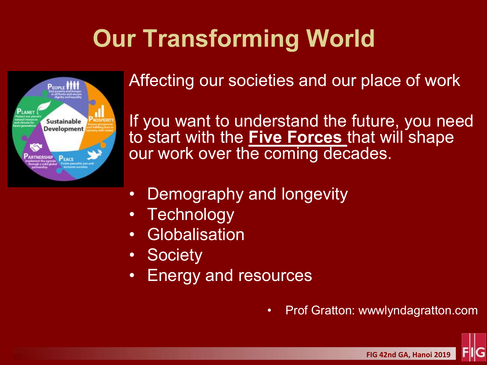### **Our Transforming World**



Affecting our societies and our place of work

If you want to understand the future, you need to start with the **Five Forces** that will shape our work over the coming decades.

- Demography and longevity
- **Technology**
- **Globalisation**
- **Society**
- Energy and resources

• Prof Gratton: wwwlyndagratton.com

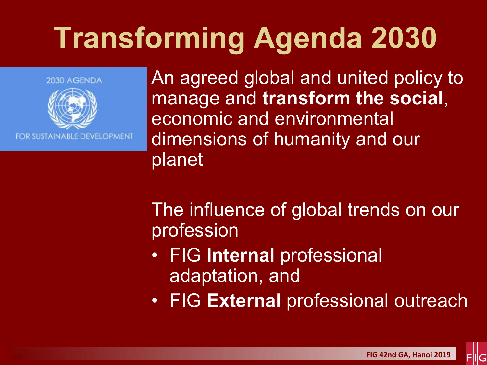# **Transforming Agenda 2030**



An agreed global and united policy to manage and **transform the social**, economic and environmental dimensions of humanity and our planet

The influence of global trends on our profession

- FIG **Internal** professional adaptation, and
- FIG **External** professional outreach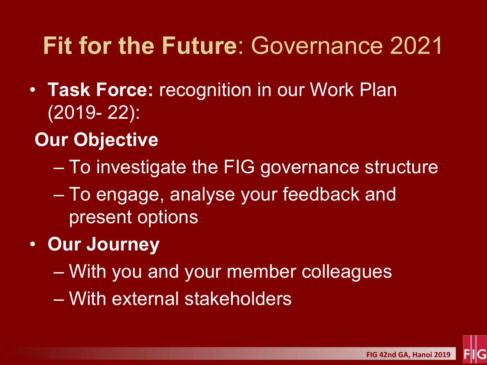### **Fit for the Future**: Governance 2021

- **Task Force:** recognition in our Work Plan (2019- 22):
- **Our Objective** 
	- To investigate the FIG governance structure
	- To engage, analyse your feedback and present options
- **Our Journey** 
	- With you and your member colleagues
	- With external stakeholders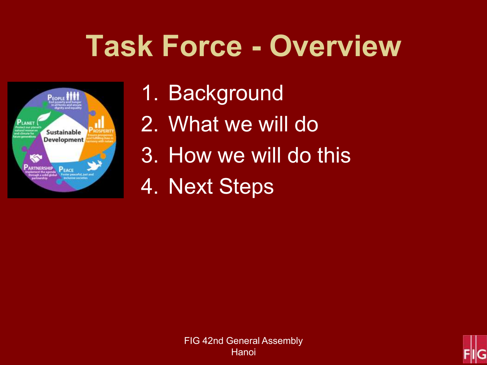# **Task Force - Overview**



- 1. Background
- 2. What we will do
- 3. How we will do this
- 4. Next Steps

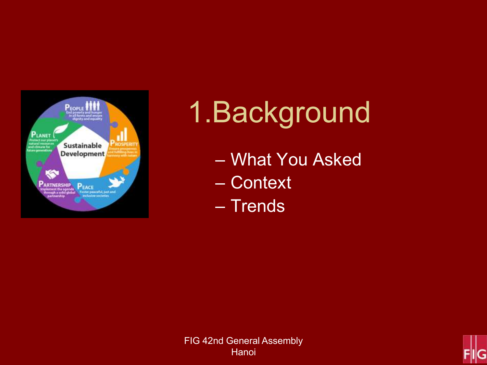

# 1. Background

- What You Asked
- Context
- Trends



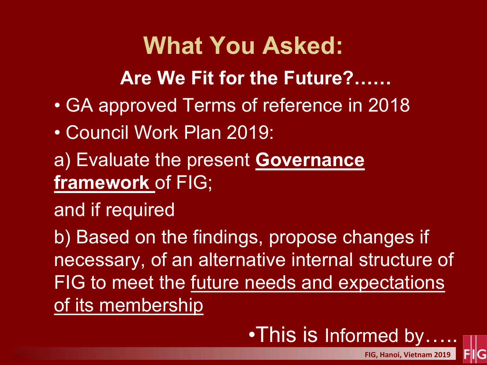### **What You Asked:**

**Are We Fit for the Future?……** 

- GA approved Terms of reference in 2018
- Council Work Plan 2019:
- a) Evaluate the present **Governance framework** of FIG;

and if required

b) Based on the findings, propose changes if necessary, of an alternative internal structure of FIG to meet the future needs and expectations of its membership

•This is Informed by.....

**FIG, Hanoi, Vietnam 2019**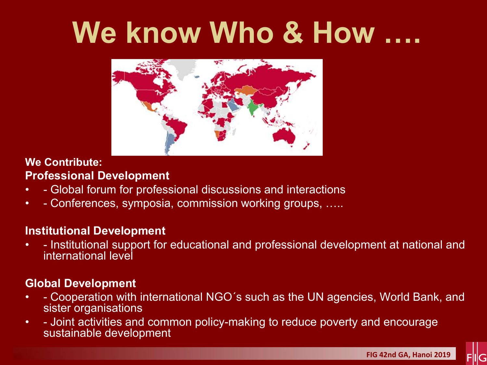# **We know Who & How ….**



#### **We Contribute: Professional Development**

- - Global forum for professional discussions and interactions
- - Conferences, symposia, commission working groups, …..

#### **Institutional Development**

• - Institutional support for educational and professional development at national and international level

#### **Global Development**

- - Cooperation with international NGO´s such as the UN agencies, World Bank, and sister organisations
- - Joint activities and common policy-making to reduce poverty and encourage sustainable development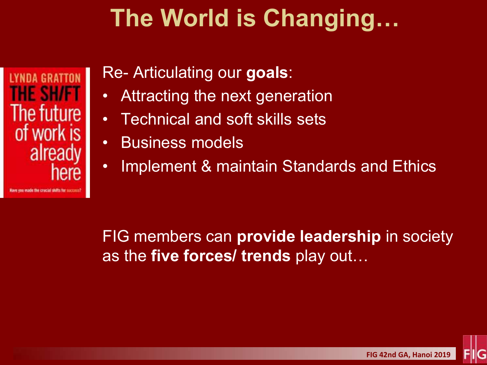### **The World is Changing…**

IYNDA GRATTON THE SH/FT The future of work is already here

#### Re- Articulating our **goals**:

- Attracting the next generation
- Technical and soft skills sets
- Business models
- Implement & maintain Standards and Ethics

FIG members can **provide leadership** in society as the **five forces/ trends** play out…

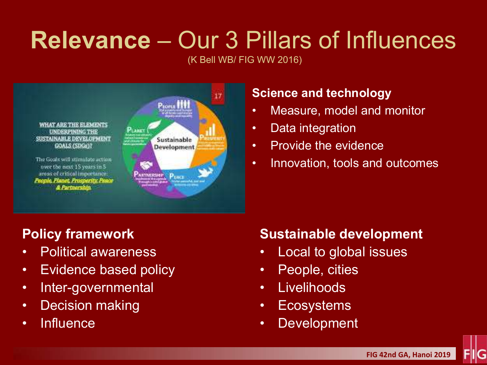### **Relevance** – Our 3 Pillars of Influences

(K Bell WB/ FIG WW 2016)



#### **Science and technology**

- Measure, model and monitor
- Data integration
- Provide the evidence
- Innovation, tools and outcomes

#### **Policy framework**

- Political awareness
- Evidence based policy
- Inter-governmental
- Decision making
- Influence

#### **Sustainable development**

- Local to global issues
- People, cities
- Livelihoods
- Ecosystems
- Development

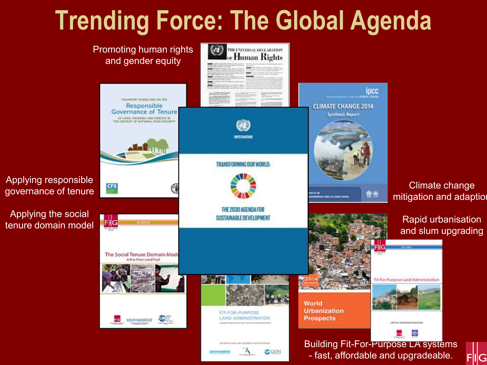### **Trending Force: The Global Agenda**

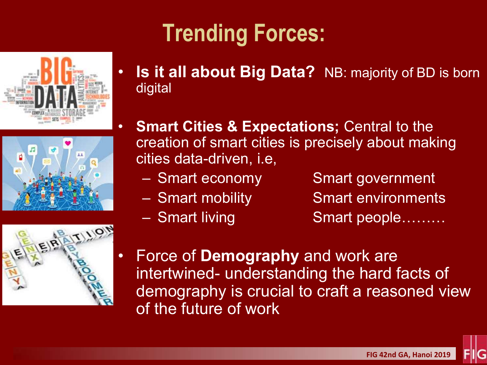





## **Trending Forces:**

- **Is it all about Big Data?** NB: majority of BD is born digital
- **Smart Cities & Expectations; Central to the** creation of smart cities is precisely about making cities data-driven, i.e,
	-
	-
	-
	- Smart economy Smart government
	- Smart mobility Smart environments
	- Smart living Smart people………
- Force of **Demography** and work are intertwined- understanding the hard facts of demography is crucial to craft a reasoned view of the future of work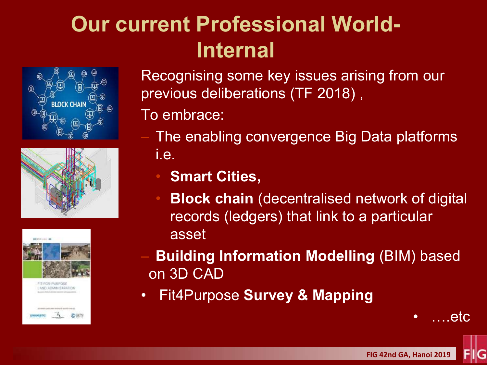### **Our current Professional World-Internal**







Recognising some key issues arising from our previous deliberations (TF 2018) ,

To embrace:

- The enabling convergence Big Data platforms i.e.
	- **Smart Cities,**
	- **Block chain** (decentralised network of digital records (ledgers) that link to a particular asset
- **Building Information Modelling** (BIM) based on 3D CAD
- Fit4Purpose **Survey & Mapping**

etc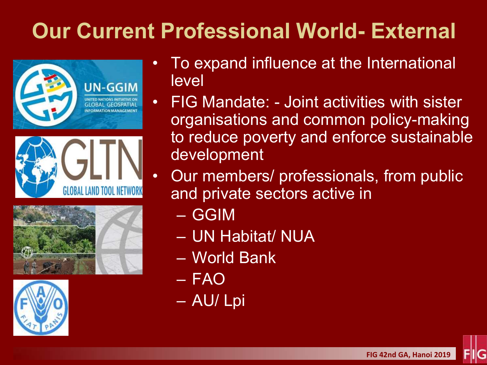### **Our Current Professional World- External**









- To expand influence at the International level
- FIG Mandate: Joint activities with sister organisations and common policy-making to reduce poverty and enforce sustainable development
	- Our members/ professionals, from public and private sectors active in
		- GGIM
		- UN Habitat/ NUA
		- World Bank
		- FAO
		- AU/ Lpi

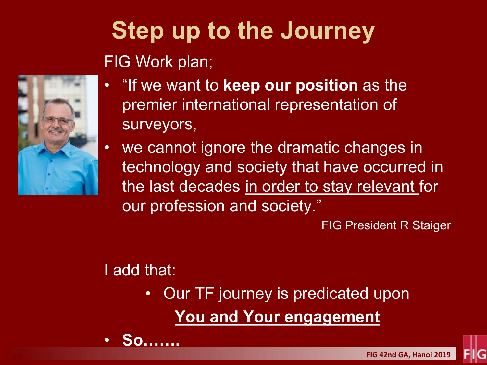

### **Step up to the Journey** FIG Work plan;

- "If we want to **keep our position** as the premier international representation of surveyors,
- we cannot ignore the dramatic changes in technology and society that have occurred in the last decades in order to stay relevant for our profession and society."

FIG President R Staiger

#### I add that:

• **So…….**

• Our TF journey is predicated upon **You and Your engagement**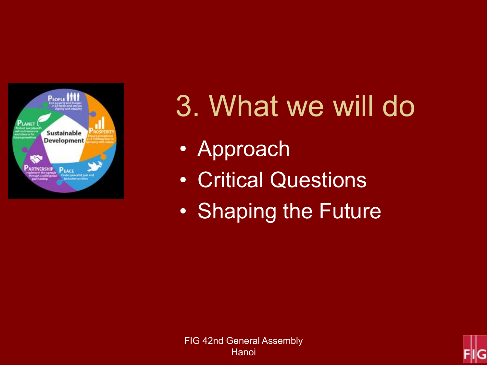

# 3. What we will do

- Approach
- Critical Questions
- Shaping the Future

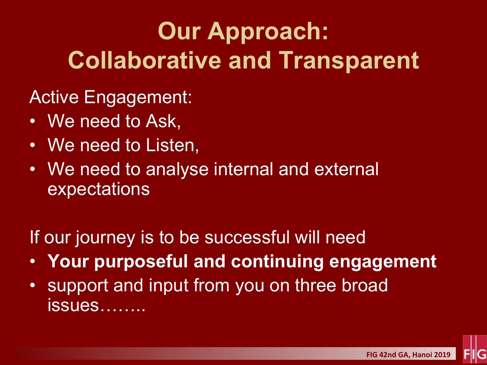### **Our Approach: Collaborative and Transparent**

Active Engagement:

- We need to Ask,
- We need to Listen,
- We need to analyse internal and external expectations

If our journey is to be successful will need

- **Your purposeful and continuing engagement**
- support and input from you on three broad issues……..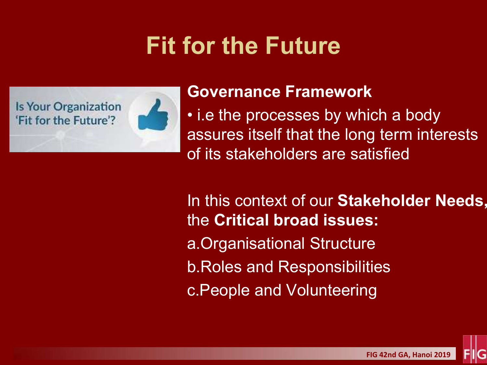### **Fit for the Future**

**Is Your Organization** 'Fit for the Future'?



#### **Governance Framework**

• i.e the processes by which a body assures itself that the long term interests of its stakeholders are satisfied

In this context of our **Stakeholder Needs,**  the **Critical broad issues:** a.Organisational Structure b.Roles and Responsibilities c.People and Volunteering

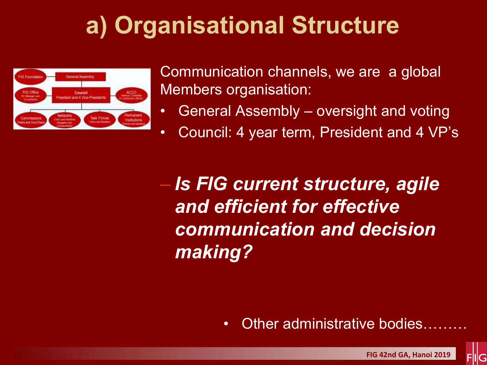### **a) Organisational Structure**



Communication channels, we are a global Members organisation:

- General Assembly oversight and voting
- Council: 4 year term, President and 4 VP's

– *Is FIG current structure, agile and efficient for effective communication and decision making?* 

• Other administrative bodies.

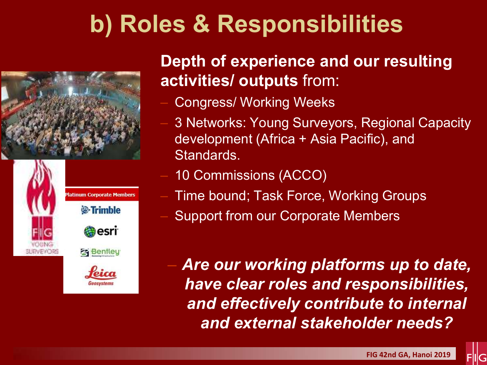### **b) Roles & Responsibilities**





#### **Depth of experience and our resulting activities/ outputs** from:

- Congress/ Working Weeks
- 3 Networks: Young Surveyors, Regional Capacity development (Africa + Asia Pacific), and Standards.
- 10 Commissions (ACCO)
- Time bound; Task Force, Working Groups
- Support from our Corporate Members

– *Are our working platforms up to date, have clear roles and responsibilities, and effectively contribute to internal and external stakeholder needs?* 

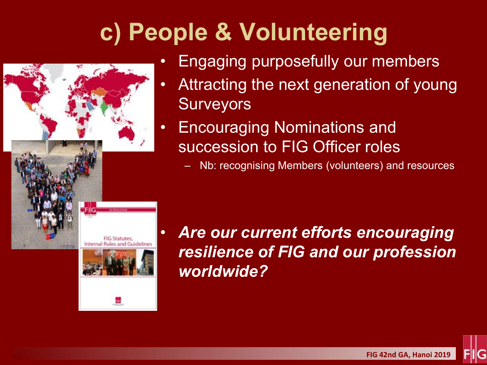### **c) People & Volunteering**



- Engaging purposefully our members
- Attracting the next generation of young **Surveyors**
- Encouraging Nominations and succession to FIG Officer roles
	- Nb: recognising Members (volunteers) and resources

• *Are our current efforts encouraging resilience of FIG and our profession worldwide?* 

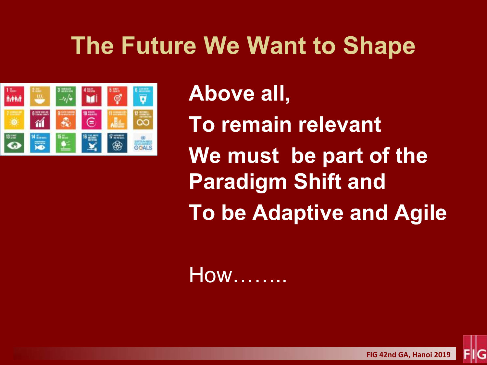### **The Future We Want to Shape**



**Above all, To remain relevant We must be part of the Paradigm Shift and To be Adaptive and Agile**

How……..

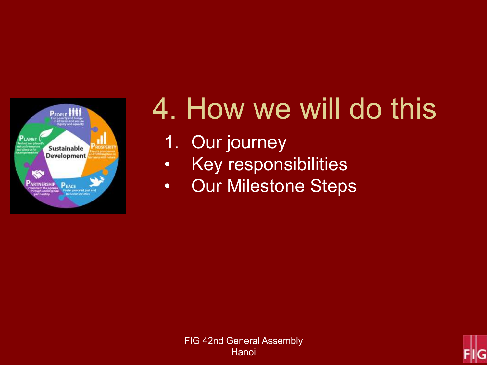

# 4. How we will do this

- 1. Our journey
- Key responsibilities
- Our Milestone Steps



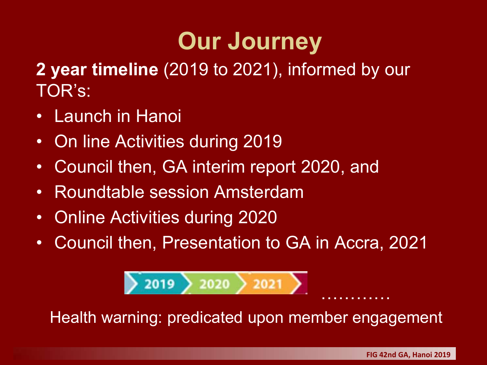### **Our Journey**

**2 year timeline** (2019 to 2021), informed by our TOR's:

- Launch in Hanoi
- On line Activities during 2019
- Council then, GA interim report 2020, and
- Roundtable session Amsterdam
- Online Activities during 2020
- Council then, Presentation to GA in Accra, 2021



Health warning: predicated upon member engagement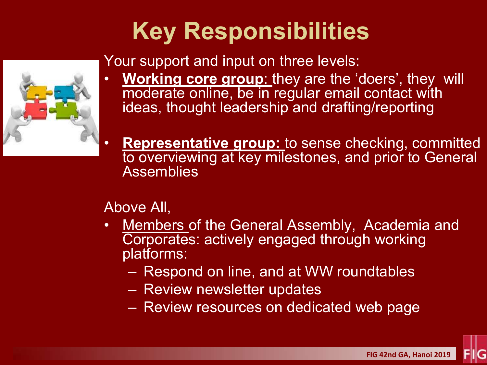### **Key Responsibilities**



Your support and input on three levels:

- **Working core group:** they are the 'doers', they will moderate online, be in regular email contact with ideas, thought leadership and drafting/reporting
	- **Representative group:** to sense checking, committed to overviewing at key milestones, and prior to General **Assemblies**

Above All,

- Members of the General Assembly, Academia and Corporates: actively engaged through working platforms:
	- Respond on line, and at WW roundtables
	- Review newsletter updates
	- Review resources on dedicated web page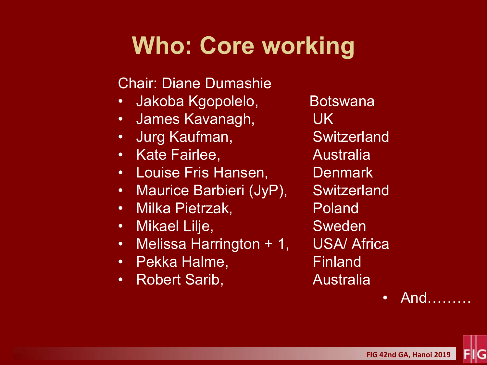### **Who: Core working**

#### Chair: Diane Dumashie

- Jakoba Kgopolelo, Botswana
- James Kavanagh, UK
- Jurg Kaufman, Switzerland
- Kate Fairlee, Australia
- Louise Fris Hansen, Denmark
- Maurice Barbieri (JyP), Switzerland
- Milka Pietrzak, Poland
- Mikael Lilje, Sweden
- Melissa Harrington + 1, USA/ Africa
- Pekka Halme, The Finland
- Robert Sarib, and Australia

• And………

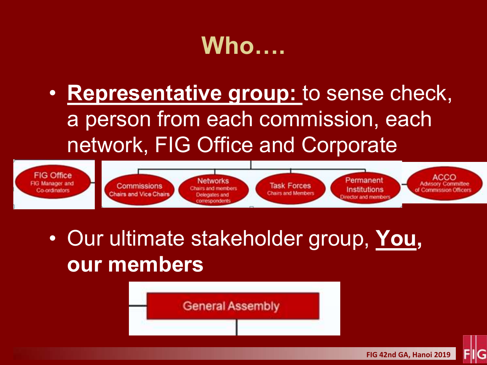### **Who….**

• **Representative group:** to sense check, a person from each commission, each network, FIG Office and Corporate



• Our ultimate stakeholder group, **You, our members**

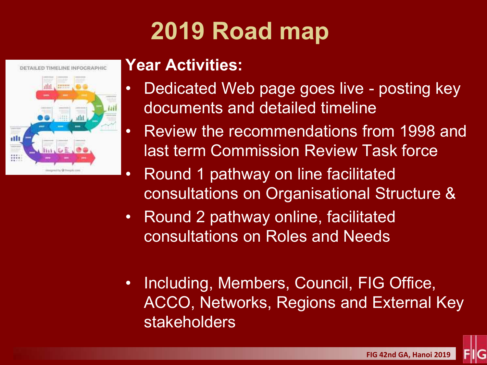### **2019 Road map**



#### **Year Activities:**

- Dedicated Web page goes live posting key documents and detailed timeline
- Review the recommendations from 1998 and last term Commission Review Task force
- Round 1 pathway on line facilitated consultations on Organisational Structure &
- Round 2 pathway online, facilitated consultations on Roles and Needs
- Including, Members, Council, FIG Office, ACCO, Networks, Regions and External Key stakeholders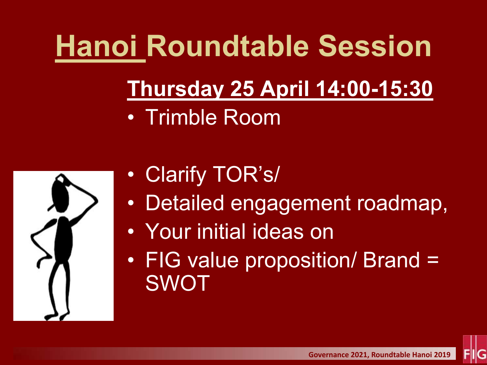# **Hanoi Roundtable Session**

# **Thursday 25 April 14:00-15:30**

• Trimble Room



- Clarify TOR's/
- Detailed engagement roadmap,
- Your initial ideas on
- FIG value proposition/ Brand = SWOT

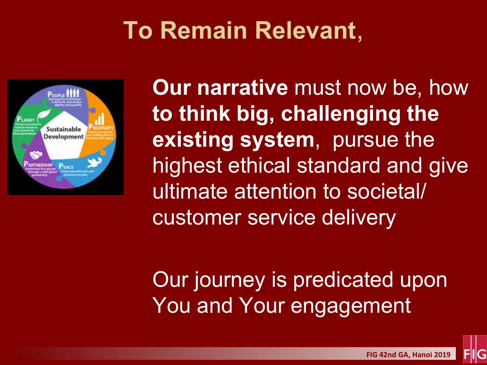### **To Remain Relevant**,



**Our narrative** must now be, how **to think big, challenging the existing system**, pursue the highest ethical standard and give ultimate attention to societal/ customer service delivery

Our journey is predicated upon You and Your engagement